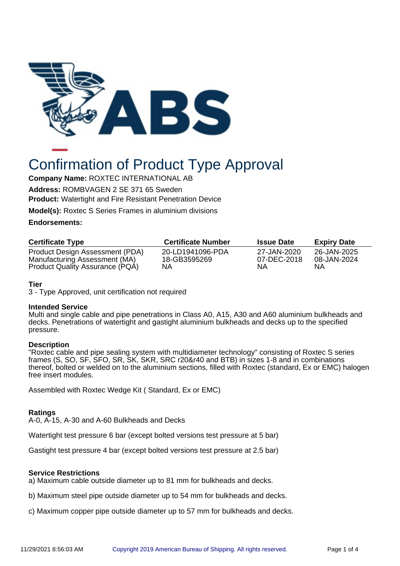

# Confirmation of Product Type Approval

**Company Name:** ROXTEC INTERNATIONAL AB

**Address:** ROMBVAGEN 2 SE 371 65 Sweden **Product:** Watertight and Fire Resistant Penetration Device

**Model(s):** Roxtec S Series Frames in aluminium divisions

## **Endorsements:**

| <b>Certificate Type</b>                                          | <b>Certificate Number</b>        | <b>Issue Date</b>          | <b>Expiry Date</b>         |
|------------------------------------------------------------------|----------------------------------|----------------------------|----------------------------|
| Product Design Assessment (PDA)<br>Manufacturing Assessment (MA) | 20-LD1941096-PDA<br>18-GB3595269 | 27-JAN-2020<br>07-DEC-2018 | 26-JAN-2025<br>08-JAN-2024 |
| Product Quality Assurance (PQA)                                  | NΑ                               | NΑ                         | ΝA                         |

# **Tier**

3 - Type Approved, unit certification not required

## **Intended Service**

Multi and single cable and pipe penetrations in Class A0, A15, A30 and A60 aluminium bulkheads and decks. Penetrations of watertight and gastight aluminium bulkheads and decks up to the specified pressure.

## **Description**

"Roxtec cable and pipe sealing system with multidiameter technology" consisting of Roxtec S series frames (S, SO, SF, SFO, SR, SK, SKR, SRC r20&r40 and BTB) in sizes 1-8 and in combinations thereof, bolted or welded on to the aluminium sections, filled with Roxtec (standard, Ex or EMC) halogen free insert modules.

Assembled with Roxtec Wedge Kit ( Standard, Ex or EMC)

## **Ratings**

A-0, A-15, A-30 and A-60 Bulkheads and Decks

Watertight test pressure 6 bar (except bolted versions test pressure at 5 bar)

Gastight test pressure 4 bar (except bolted versions test pressure at 2.5 bar)

## **Service Restrictions**

a) Maximum cable outside diameter up to 81 mm for bulkheads and decks.

b) Maximum steel pipe outside diameter up to 54 mm for bulkheads and decks.

c) Maximum copper pipe outside diameter up to 57 mm for bulkheads and decks.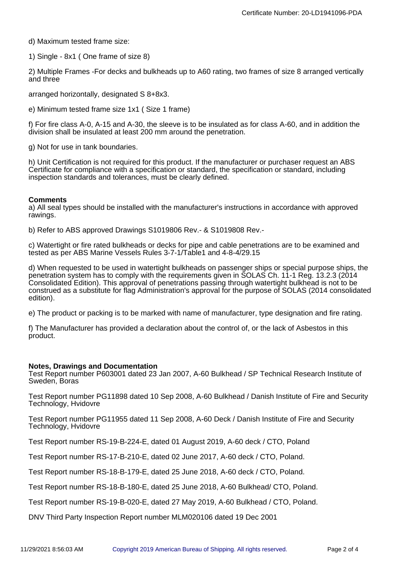d) Maximum tested frame size:

1) Single - 8x1 ( One frame of size 8)

2) Multiple Frames -For decks and bulkheads up to A60 rating, two frames of size 8 arranged vertically and three

arranged horizontally, designated S 8+8x3.

e) Minimum tested frame size 1x1 ( Size 1 frame)

f) For fire class A-0, A-15 and A-30, the sleeve is to be insulated as for class A-60, and in addition the division shall be insulated at least 200 mm around the penetration.

g) Not for use in tank boundaries.

h) Unit Certification is not required for this product. If the manufacturer or purchaser request an ABS Certificate for compliance with a specification or standard, the specification or standard, including inspection standards and tolerances, must be clearly defined.

#### **Comments**

a) All seal types should be installed with the manufacturer's instructions in accordance with approved rawings.

b) Refer to ABS approved Drawings S1019806 Rev.- & S1019808 Rev.-

c) Watertight or fire rated bulkheads or decks for pipe and cable penetrations are to be examined and tested as per ABS Marine Vessels Rules 3-7-1/Table1 and 4-8-4/29.15

d) When requested to be used in watertight bulkheads on passenger ships or special purpose ships, the penetration system has to comply with the requirements given in SOLAS Ch. 11-1 Reg. 13.2.3 (2014 Consolidated Edition). This approval of penetrations passing through watertight bulkhead is not to be construed as a substitute for flag Administration's approval for the purpose of SOLAS (2014 consolidated edition).

e) The product or packing is to be marked with name of manufacturer, type designation and fire rating.

f) The Manufacturer has provided a declaration about the control of, or the lack of Asbestos in this product.

#### **Notes, Drawings and Documentation**

Test Report number P603001 dated 23 Jan 2007, A-60 Bulkhead / SP Technical Research Institute of Sweden, Boras

Test Report number PG11898 dated 10 Sep 2008, A-60 Bulkhead / Danish Institute of Fire and Security Technology, Hvidovre

Test Report number PG11955 dated 11 Sep 2008, A-60 Deck / Danish Institute of Fire and Security Technology, Hvidovre

Test Report number RS-19-B-224-E, dated 01 August 2019, A-60 deck / CTO, Poland

Test Report number RS-17-B-210-E, dated 02 June 2017, A-60 deck / CTO, Poland.

Test Report number RS-18-B-179-E, dated 25 June 2018, A-60 deck / CTO, Poland.

Test Report number RS-18-B-180-E, dated 25 June 2018, A-60 Bulkhead/ CTO, Poland.

Test Report number RS-19-B-020-E, dated 27 May 2019, A-60 Bulkhead / CTO, Poland.

DNV Third Party Inspection Report number MLM020106 dated 19 Dec 2001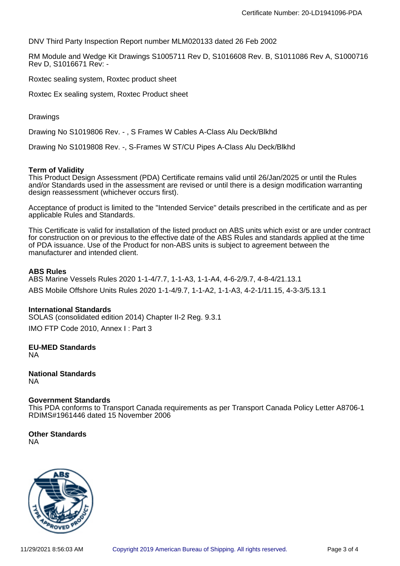DNV Third Party Inspection Report number MLM020133 dated 26 Feb 2002

RM Module and Wedge Kit Drawings S1005711 Rev D, S1016608 Rev. B, S1011086 Rev A, S1000716 Rev D, S1016671 Rev: -

Roxtec sealing system, Roxtec product sheet

Roxtec Ex sealing system, Roxtec Product sheet

Drawings

Drawing No S1019806 Rev. - , S Frames W Cables A-Class Alu Deck/Blkhd

Drawing No S1019808 Rev. -, S-Frames W ST/CU Pipes A-Class Alu Deck/Blkhd

#### **Term of Validity**

This Product Design Assessment (PDA) Certificate remains valid until 26/Jan/2025 or until the Rules and/or Standards used in the assessment are revised or until there is a design modification warranting design reassessment (whichever occurs first).

Acceptance of product is limited to the "Intended Service" details prescribed in the certificate and as per applicable Rules and Standards.

This Certificate is valid for installation of the listed product on ABS units which exist or are under contract for construction on or previous to the effective date of the ABS Rules and standards applied at the time of PDA issuance. Use of the Product for non-ABS units is subject to agreement between the manufacturer and intended client.

#### **ABS Rules**

ABS Marine Vessels Rules 2020 1-1-4/7.7, 1-1-A3, 1-1-A4, 4-6-2/9.7, 4-8-4/21.13.1 ABS Mobile Offshore Units Rules 2020 1-1-4/9.7, 1-1-A2, 1-1-A3, 4-2-1/11.15, 4-3-3/5.13.1

#### **International Standards**

SOLAS (consolidated edition 2014) Chapter II-2 Reg. 9.3.1

IMO FTP Code 2010, Annex I : Part 3

**EU-MED Standards** NA

**National Standards** NA

#### **Government Standards**

This PDA conforms to Transport Canada requirements as per Transport Canada Policy Letter A8706-1 RDIMS#1961446 dated 15 November 2006

#### **Other Standards** NA